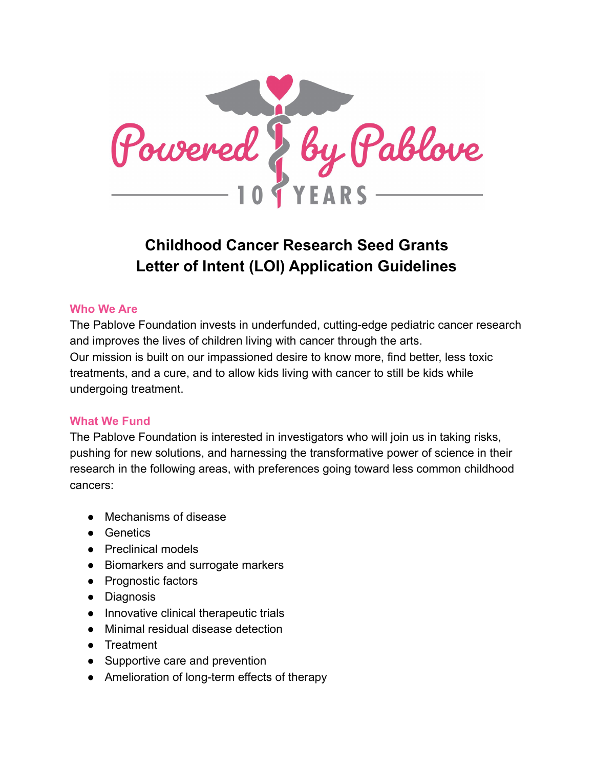

# **Childhood Cancer Research Seed Grants Letter of Intent (LOI) Application Guidelines**

#### **Who We Are**

The Pablove Foundation invests in underfunded, cutting-edge pediatric cancer research and improves the lives of children living with cancer through the arts. Our mission is built on our impassioned desire to know more, find better, less toxic treatments, and a cure, and to allow kids living with cancer to still be kids while undergoing treatment.

#### **What We Fund**

The Pablove Foundation is interested in investigators who will join us in taking risks, pushing for new solutions, and harnessing the transformative power of science in their research in the following areas, with preferences going toward less common childhood cancers:

- Mechanisms of disease
- Genetics
- Preclinical models
- Biomarkers and surrogate markers
- Prognostic factors
- Diagnosis
- Innovative clinical therapeutic trials
- Minimal residual disease detection
- Treatment
- Supportive care and prevention
- Amelioration of long-term effects of therapy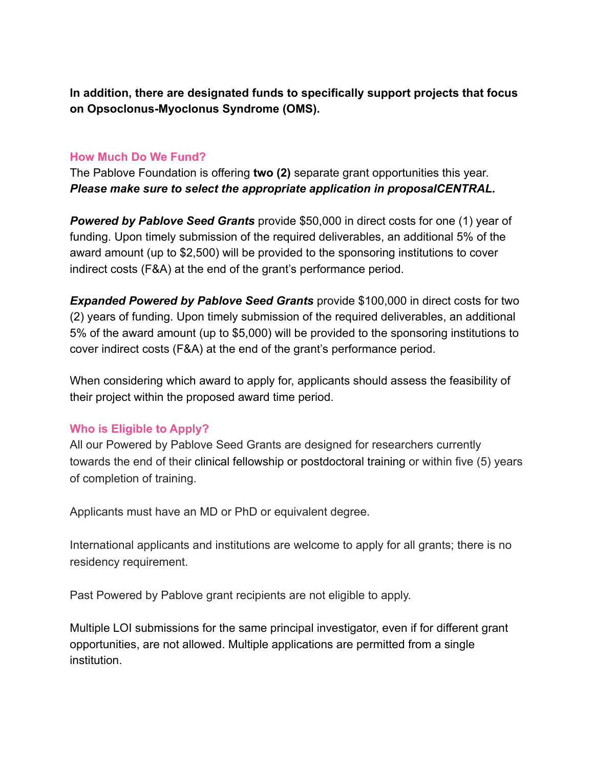**In addition, there are designated funds to specifically support projects that focus on Opsoclonus-Myoclonus Syndrome (OMS).**

#### **How Much Do We Fund?**

The Pablove Foundation is offering **two (2)** separate grant opportunities this year. *Please make sure to select the appropriate application in proposalCENTRAL.*

*Powered by Pablove Seed Grants* provide \$50,000 in direct costs for one (1) year of funding. Upon timely submission of the required deliverables, an additional 5% of the award amount (up to \$2,500) will be provided to the sponsoring institutions to cover indirect costs (F&A) at the end of the grant's performance period.

*Expanded Powered by Pablove Seed Grants* provide \$100,000 in direct costs for two (2) years of funding. Upon timely submission of the required deliverables, an additional 5% of the award amount (up to \$5,000) will be provided to the sponsoring institutions to cover indirect costs (F&A) at the end of the grant's performance period.

When considering which award to apply for, applicants should assess the feasibility of their project within the proposed award time period.

## **Who is Eligible to Apply?**

All our Powered by Pablove Seed Grants are designed for researchers currently towards the end of their clinical fellowship or postdoctoral training or within five (5) years of completion of training.

Applicants must have an MD or PhD or equivalent degree.

International applicants and institutions are welcome to apply for all grants; there is no residency requirement.

Past Powered by Pablove grant recipients are not eligible to apply.

Multiple LOI submissions for the same principal investigator, even if for different grant opportunities, are not allowed. Multiple applications are permitted from a single institution.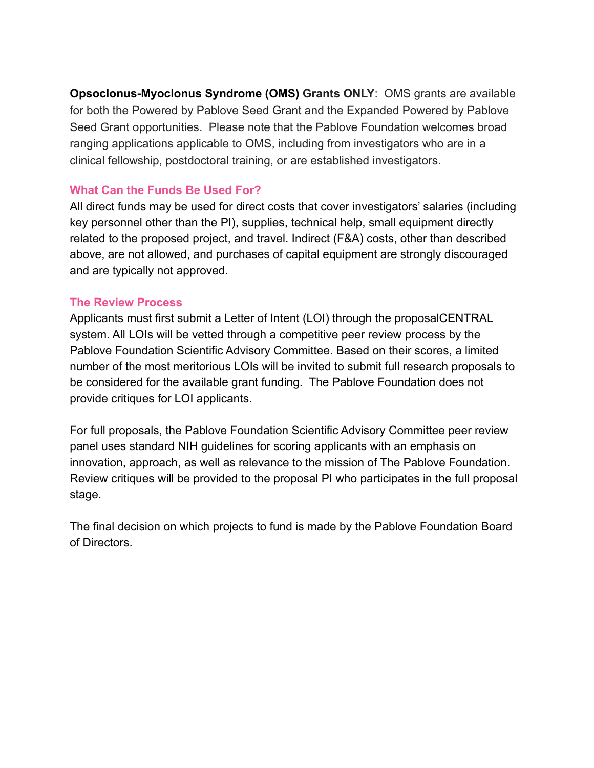**Opsoclonus-Myoclonus Syndrome (OMS) Grants ONLY**: OMS grants are available for both the Powered by Pablove Seed Grant and the Expanded Powered by Pablove Seed Grant opportunities. Please note that the Pablove Foundation welcomes broad ranging applications applicable to OMS, including from investigators who are in a clinical fellowship, postdoctoral training, or are established investigators.

## **What Can the Funds Be Used For?**

All direct funds may be used for direct costs that cover investigators' salaries (including key personnel other than the PI), supplies, technical help, small equipment directly related to the proposed project, and travel. Indirect (F&A) costs, other than described above, are not allowed, and purchases of capital equipment are strongly discouraged and are typically not approved.

## **The Review Process**

Applicants must first submit a Letter of Intent (LOI) through the proposalCENTRAL system. All LOIs will be vetted through a competitive peer review process by the Pablove Foundation Scientific Advisory Committee. Based on their scores, a limited number of the most meritorious LOIs will be invited to submit full research proposals to be considered for the available grant funding. The Pablove Foundation does not provide critiques for LOI applicants.

For full proposals, the Pablove Foundation Scientific Advisory Committee peer review panel uses standard NIH guidelines for scoring applicants with an emphasis on innovation, approach, as well as relevance to the mission of The Pablove Foundation. Review critiques will be provided to the proposal PI who participates in the full proposal stage.

The final decision on which projects to fund is made by the Pablove Foundation Board of Directors.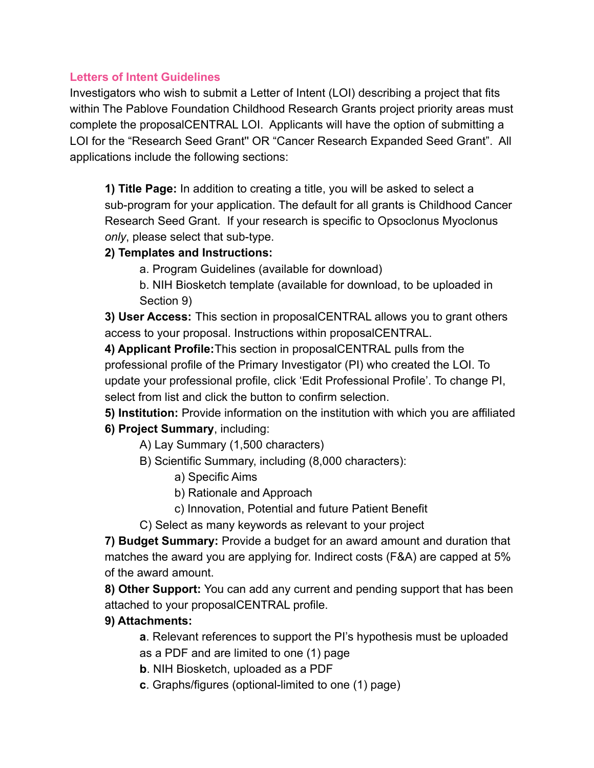# **Letters of Intent Guidelines**

Investigators who wish to submit a Letter of Intent (LOI) describing a project that fits within The Pablove Foundation Childhood Research Grants project priority areas must complete the proposalCENTRAL LOI. Applicants will have the option of submitting a LOI for the "Research Seed Grant'' OR "Cancer Research Expanded Seed Grant". All applications include the following sections:

**1) Title Page:** In addition to creating a title, you will be asked to select a sub-program for your application. The default for all grants is Childhood Cancer Research Seed Grant. If your research is specific to Opsoclonus Myoclonus *only*, please select that sub-type.

# **2) Templates and Instructions:**

- a. Program Guidelines (available for download)
- b. NIH Biosketch template (available for download, to be uploaded in Section 9)

**3) User Access:** This section in proposalCENTRAL allows you to grant others access to your proposal. Instructions within proposalCENTRAL.

**4) Applicant Profile:**This section in proposalCENTRAL pulls from the professional profile of the Primary Investigator (PI) who created the LOI. To update your professional profile, click 'Edit Professional Profile'. To change PI, select from list and click the button to confirm selection.

**5) Institution:** Provide information on the institution with which you are affiliated **6) Project Summary**, including:

- A) Lay Summary (1,500 characters)
- B) Scientific Summary, including (8,000 characters):
	- a) Specific Aims
	- b) Rationale and Approach
	- c) Innovation, Potential and future Patient Benefit
- C) Select as many keywords as relevant to your project

**7) Budget Summary:** Provide a budget for an award amount and duration that matches the award you are applying for. Indirect costs (F&A) are capped at 5% of the award amount.

**8) Other Support:** You can add any current and pending support that has been attached to your proposalCENTRAL profile.

# **9) Attachments:**

**a**. Relevant references to support the PI's hypothesis must be uploaded as a PDF and are limited to one (1) page

**b**. NIH Biosketch, uploaded as a PDF

**c**. Graphs/figures (optional-limited to one (1) page)